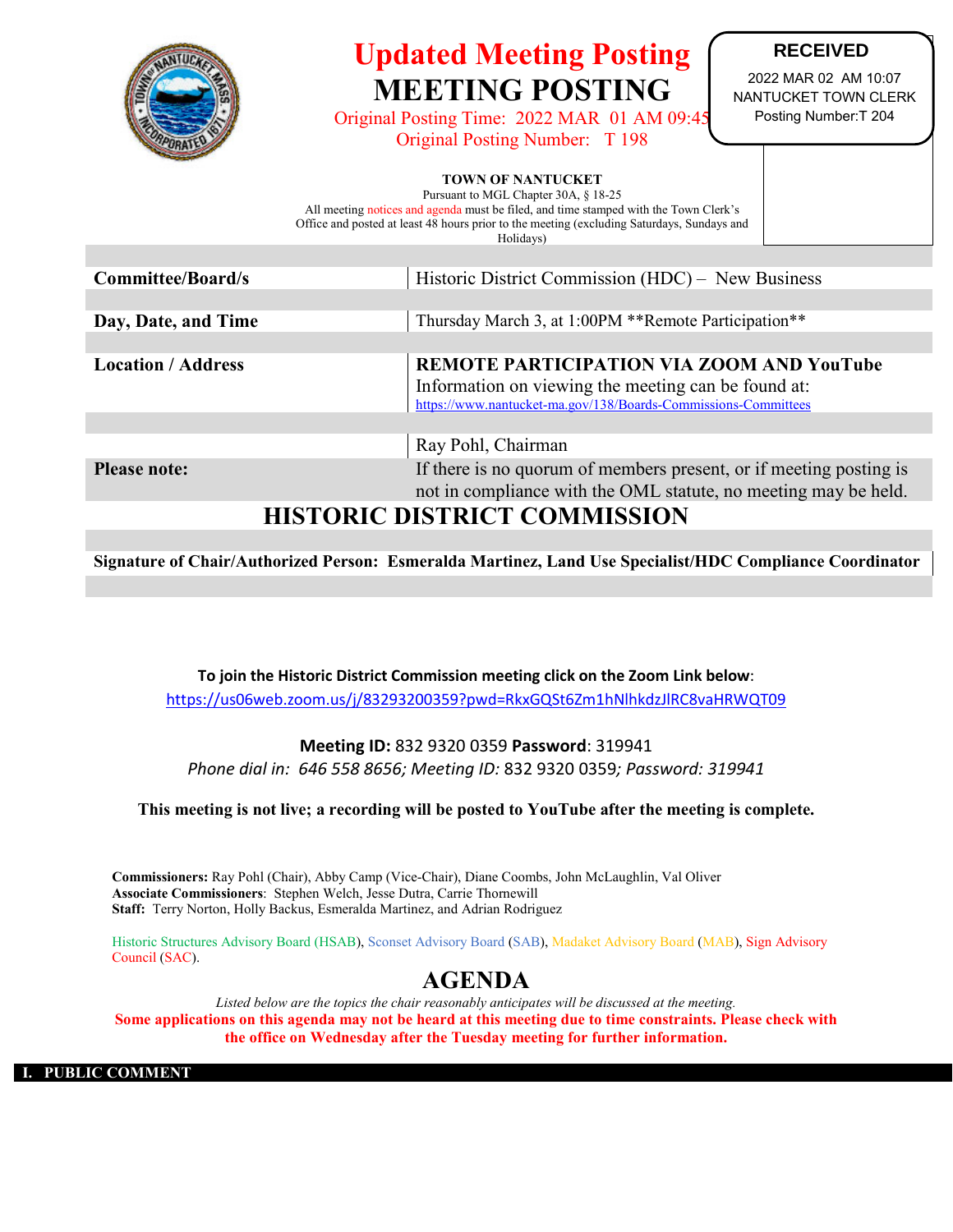

# **Updated Meeting Posting MEETING POSTING**

Original Posting Time: 2022 MAR 01 AM 09:45 Original Posting Number: T 198

### **RECEIVED**

2022 MAR 02 AM 10:07 NANTUCKET TOWN CLERK Posting Number:T 204

#### **TOWN OF NANTUCKET**

Pursuant to MGL Chapter 30A, § 18-25

All meeting notices and agenda must be filed, and time stamped with the Town Clerk's Office and posted at least 48 hours prior to the meeting (excluding Saturdays, Sundays and

Holidays)

| <b>Committee/Board/s</b>      | Historic District Commission (HDC) – New Business                                                                     |  |  |  |
|-------------------------------|-----------------------------------------------------------------------------------------------------------------------|--|--|--|
|                               |                                                                                                                       |  |  |  |
| Day, Date, and Time           | Thursday March 3, at 1:00PM **Remote Participation**                                                                  |  |  |  |
|                               |                                                                                                                       |  |  |  |
| <b>Location / Address</b>     | REMOTE PARTICIPATION VIA ZOOM AND YouTube                                                                             |  |  |  |
|                               | Information on viewing the meeting can be found at:<br>https://www.nantucket-ma.gov/138/Boards-Commissions-Committees |  |  |  |
|                               |                                                                                                                       |  |  |  |
|                               |                                                                                                                       |  |  |  |
|                               | Ray Pohl, Chairman                                                                                                    |  |  |  |
| <b>Please note:</b>           | If there is no quorum of members present, or if meeting posting is                                                    |  |  |  |
|                               | not in compliance with the OML statute, no meeting may be held.                                                       |  |  |  |
| IIIATODIA BIATBIAT AOMIMIAANI |                                                                                                                       |  |  |  |

## **HISTORIC DISTRICT COMMISSION**

**Signature of Chair/Authorized Person: Esmeralda Martinez, Land Use Specialist/HDC Compliance Coordinator**

**To join the Historic District Commission meeting click on the Zoom Link below**: <https://us06web.zoom.us/j/83293200359?pwd=RkxGQSt6Zm1hNlhkdzJlRC8vaHRWQT09>

### **Meeting ID:** 832 9320 0359 **Password**: 319941 *Phone dial in: 646 558 8656; Meeting ID:* 832 9320 0359*; Password: 319941*

**This meeting is not live; a recording will be posted to YouTube after the meeting is complete.**

**Commissioners:** Ray Pohl (Chair), Abby Camp (Vice-Chair), Diane Coombs, John McLaughlin, Val Oliver **Associate Commissioners**: Stephen Welch, Jesse Dutra, Carrie Thornewill **Staff:** Terry Norton, Holly Backus, Esmeralda Martinez, and Adrian Rodriguez

Historic Structures Advisory Board (HSAB), Sconset Advisory Board (SAB), Madaket Advisory Board (MAB), Sign Advisory Council (SAC).

### **AGENDA**

*Listed below are the topics the chair reasonably anticipates will be discussed at the meeting.* **Some applications on this agenda may not be heard at this meeting due to time constraints. Please check with the office on Wednesday after the Tuesday meeting for further information.**

**I. PUBLIC COMMENT**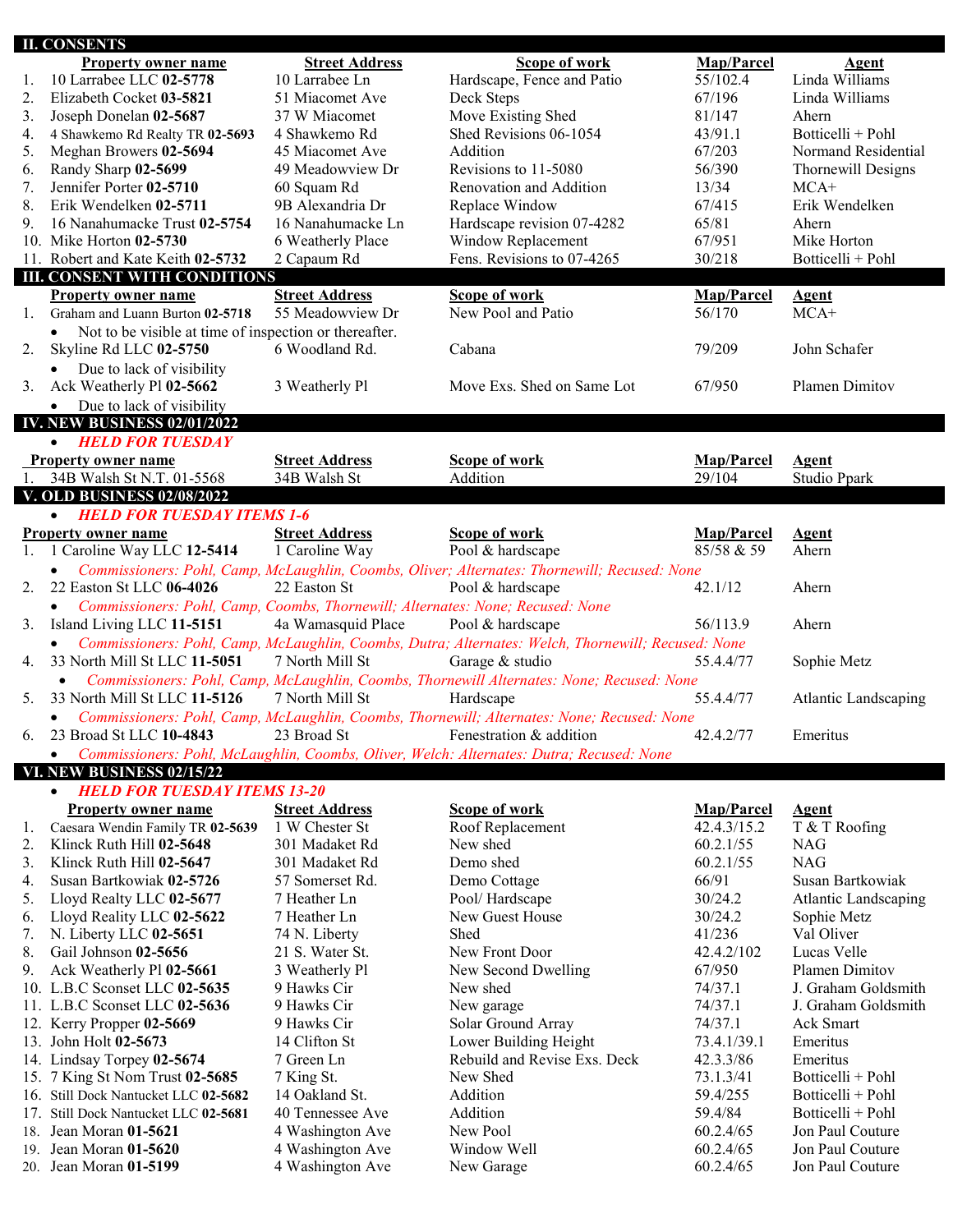|     | <b>II. CONSENTS</b>                                                                         |                       |                                                                                                    |             |                             |
|-----|---------------------------------------------------------------------------------------------|-----------------------|----------------------------------------------------------------------------------------------------|-------------|-----------------------------|
|     | <b>Property owner name</b>                                                                  | <b>Street Address</b> | Scope of work                                                                                      | Map/Parcel  | <b>Agent</b>                |
| 1.  | 10 Larrabee LLC 02-5778                                                                     | 10 Larrabee Ln        | Hardscape, Fence and Patio                                                                         | 55/102.4    | Linda Williams              |
| 2.  | Elizabeth Cocket 03-5821                                                                    | 51 Miacomet Ave       | Deck Steps                                                                                         | 67/196      | Linda Williams              |
| 3.  | Joseph Donelan 02-5687                                                                      | 37 W Miacomet         | Move Existing Shed                                                                                 | 81/147      | Ahern                       |
| 4.  | 4 Shawkemo Rd Realty TR 02-5693                                                             | 4 Shawkemo Rd         | Shed Revisions 06-1054                                                                             | 43/91.1     | Botticelli + Pohl           |
| 5.  | Meghan Browers 02-5694                                                                      | 45 Miacomet Ave       | Addition                                                                                           | 67/203      | Normand Residential         |
| 6.  | Randy Sharp 02-5699                                                                         | 49 Meadowview Dr      | Revisions to 11-5080                                                                               | 56/390      | Thornewill Designs          |
| 7.  | Jennifer Porter 02-5710                                                                     | 60 Squam Rd           | Renovation and Addition                                                                            | 13/34       | $MCA+$                      |
| 8.  | Erik Wendelken 02-5711                                                                      | 9B Alexandria Dr      | Replace Window                                                                                     | 67/415      | Erik Wendelken              |
| 9.  | 16 Nanahumacke Trust 02-5754                                                                | 16 Nanahumacke Ln     | Hardscape revision 07-4282                                                                         | 65/81       | Ahern                       |
|     | 10. Mike Horton 02-5730                                                                     | 6 Weatherly Place     | Window Replacement                                                                                 | 67/951      | Mike Horton                 |
|     | 11. Robert and Kate Keith 02-5732                                                           | 2 Capaum Rd           | Fens. Revisions to 07-4265                                                                         | 30/218      | Botticelli + Pohl           |
|     | <b>III. CONSENT WITH CONDITIONS</b>                                                         |                       |                                                                                                    |             |                             |
|     | <b>Property owner name</b>                                                                  | <b>Street Address</b> | <b>Scope of work</b>                                                                               | Map/Parcel  | <b>Agent</b>                |
| 1.  | Graham and Luann Burton 02-5718                                                             | 55 Meadowview Dr      | New Pool and Patio                                                                                 | 56/170      | $MCA+$                      |
|     | Not to be visible at time of inspection or thereafter.<br>$\bullet$                         |                       |                                                                                                    |             |                             |
| 2.  | Skyline Rd LLC 02-5750                                                                      | 6 Woodland Rd.        | Cabana                                                                                             | 79/209      | John Schafer                |
|     | Due to lack of visibility<br>$\bullet$                                                      |                       |                                                                                                    |             |                             |
| 3.  | Ack Weatherly Pl 02-5662                                                                    | 3 Weatherly Pl        | Move Exs. Shed on Same Lot                                                                         | 67/950      | Plamen Dimitov              |
|     | Due to lack of visibility<br>$\bullet$                                                      |                       |                                                                                                    |             |                             |
|     | <b>IV. NEW BUSINESS 02/01/2022</b>                                                          |                       |                                                                                                    |             |                             |
|     | <b>HELD FOR TUESDAY</b><br>$\bullet$                                                        |                       |                                                                                                    |             |                             |
|     | <b>Property owner name</b>                                                                  | <b>Street Address</b> | Scope of work                                                                                      | Map/Parcel  | <b>Agent</b>                |
| 1.  | 34B Walsh St N.T. 01-5568                                                                   | 34B Walsh St          | Addition                                                                                           | 29/104      | Studio Ppark                |
|     | <b>V. OLD BUSINESS 02/08/2022</b>                                                           |                       |                                                                                                    |             |                             |
|     | <b>HELD FOR TUESDAY ITEMS 1-6</b><br>$\bullet$                                              |                       |                                                                                                    |             |                             |
|     | <b>Property owner name</b>                                                                  | <b>Street Address</b> | <b>Scope of work</b>                                                                               | Map/Parcel  | <b>Agent</b>                |
|     | 1. 1 Caroline Way LLC 12-5414                                                               | 1 Caroline Way        | Pool & hardscape                                                                                   | 85/58 & 59  | Ahern                       |
|     |                                                                                             |                       | Commissioners: Pohl, Camp, McLaughlin, Coombs, Oliver; Alternates: Thornewill; Recused: None       |             |                             |
| 2.  | 22 Easton St LLC 06-4026                                                                    | 22 Easton St          | Pool & hardscape                                                                                   | 42.1/12     | Ahern                       |
|     | Commissioners: Pohl, Camp, Coombs, Thornewill; Alternates: None; Recused: None<br>$\bullet$ |                       |                                                                                                    |             |                             |
| 3.  | Island Living LLC 11-5151                                                                   | 4a Wamasquid Place    | Pool & hardscape                                                                                   | 56/113.9    | Ahern                       |
|     |                                                                                             |                       | Commissioners: Pohl, Camp, McLaughlin, Coombs, Dutra; Alternates: Welch, Thornewill; Recused: None |             |                             |
| 4.  | 33 North Mill St LLC 11-5051                                                                | 7 North Mill St       | Garage & studio                                                                                    | 55.4.4/77   | Sophie Metz                 |
|     | $\bullet$                                                                                   |                       | Commissioners: Pohl, Camp, McLaughlin, Coombs, Thornewill Alternates: None; Recused: None          |             |                             |
| 5.  | 33 North Mill St LLC 11-5126                                                                | 7 North Mill St       | Hardscape                                                                                          | 55.4.4/77   | <b>Atlantic Landscaping</b> |
|     | $\bullet$                                                                                   |                       | Commissioners: Pohl, Camp, McLaughlin, Coombs, Thornewill; Alternates: None; Recused: None         |             |                             |
| 6.  | 23 Broad St LLC 10-4843                                                                     | 23 Broad St           | Fenestration & addition                                                                            | 42.4.2/77   | Emeritus                    |
|     | $\bullet$                                                                                   |                       | Commissioners: Pohl, McLaughlin, Coombs, Oliver, Welch: Alternates: Dutra; Recused: None           |             |                             |
|     | VI. NEW BUSINESS 02/15/22                                                                   |                       |                                                                                                    |             |                             |
|     | <b>HELD FOR TUESDAY ITEMS 13-20</b><br>$\bullet$                                            |                       |                                                                                                    |             |                             |
|     | <b>Property owner name</b>                                                                  | <b>Street Address</b> | <b>Scope of work</b>                                                                               | Map/Parcel  | <b>Agent</b>                |
| 1.  | Caesara Wendin Family TR 02-5639                                                            | 1 W Chester St        | Roof Replacement                                                                                   | 42.4.3/15.2 | T & T Roofing               |
| 2.  | Klinck Ruth Hill 02-5648                                                                    | 301 Madaket Rd        | New shed                                                                                           | 60.2.1/55   | <b>NAG</b>                  |
| 3.  | Klinck Ruth Hill 02-5647                                                                    | 301 Madaket Rd        | Demo shed                                                                                          | 60.2.1/55   | <b>NAG</b>                  |
| 4.  | Susan Bartkowiak 02-5726                                                                    | 57 Somerset Rd.       | Demo Cottage                                                                                       | 66/91       | Susan Bartkowiak            |
| 5.  | Lloyd Realty LLC 02-5677                                                                    | 7 Heather Ln          | Pool/Hardscape                                                                                     | 30/24.2     | <b>Atlantic Landscaping</b> |
| 6.  | Lloyd Reality LLC 02-5622                                                                   | 7 Heather Ln          | New Guest House                                                                                    | 30/24.2     | Sophie Metz                 |
| 7.  | N. Liberty LLC 02-5651                                                                      | 74 N. Liberty         | Shed                                                                                               | 41/236      | Val Oliver                  |
| 8.  | Gail Johnson 02-5656                                                                        | 21 S. Water St.       | New Front Door                                                                                     | 42.4.2/102  | Lucas Velle                 |
| 9.  | Ack Weatherly Pl 02-5661                                                                    | 3 Weatherly Pl        | New Second Dwelling                                                                                | 67/950      | Plamen Dimitov              |
|     | 10. L.B.C Sconset LLC 02-5635                                                               | 9 Hawks Cir           | New shed                                                                                           | 74/37.1     | J. Graham Goldsmith         |
|     | 11. L.B.C Sconset LLC 02-5636                                                               | 9 Hawks Cir           | New garage                                                                                         | 74/37.1     | J. Graham Goldsmith         |
|     | 12. Kerry Propper 02-5669                                                                   | 9 Hawks Cir           | Solar Ground Array                                                                                 | 74/37.1     | Ack Smart                   |
|     | 13. John Holt 02-5673                                                                       | 14 Clifton St         | Lower Building Height                                                                              | 73.4.1/39.1 | Emeritus                    |
|     | 14. Lindsay Torpey 02-5674                                                                  | 7 Green Ln            | Rebuild and Revise Exs. Deck                                                                       | 42.3.3/86   | Emeritus                    |
|     | 15. 7 King St Nom Trust 02-5685                                                             | 7 King St.            | New Shed                                                                                           | 73.1.3/41   | Botticelli + Pohl           |
|     | 16. Still Dock Nantucket LLC 02-5682                                                        | 14 Oakland St.        | Addition                                                                                           | 59.4/255    | Botticelli + Pohl           |
| 17. | Still Dock Nantucket LLC 02-5681                                                            | 40 Tennessee Ave      | Addition                                                                                           | 59.4/84     | Botticelli + Pohl           |
| 18. | Jean Moran 01-5621                                                                          | 4 Washington Ave      | New Pool                                                                                           | 60.2.4/65   | Jon Paul Couture            |
| 19. | Jean Moran 01-5620                                                                          | 4 Washington Ave      | Window Well                                                                                        | 60.2.4/65   | Jon Paul Couture            |
|     | 20. Jean Moran 01-5199                                                                      | 4 Washington Ave      | New Garage                                                                                         | 60.2.4/65   | Jon Paul Couture            |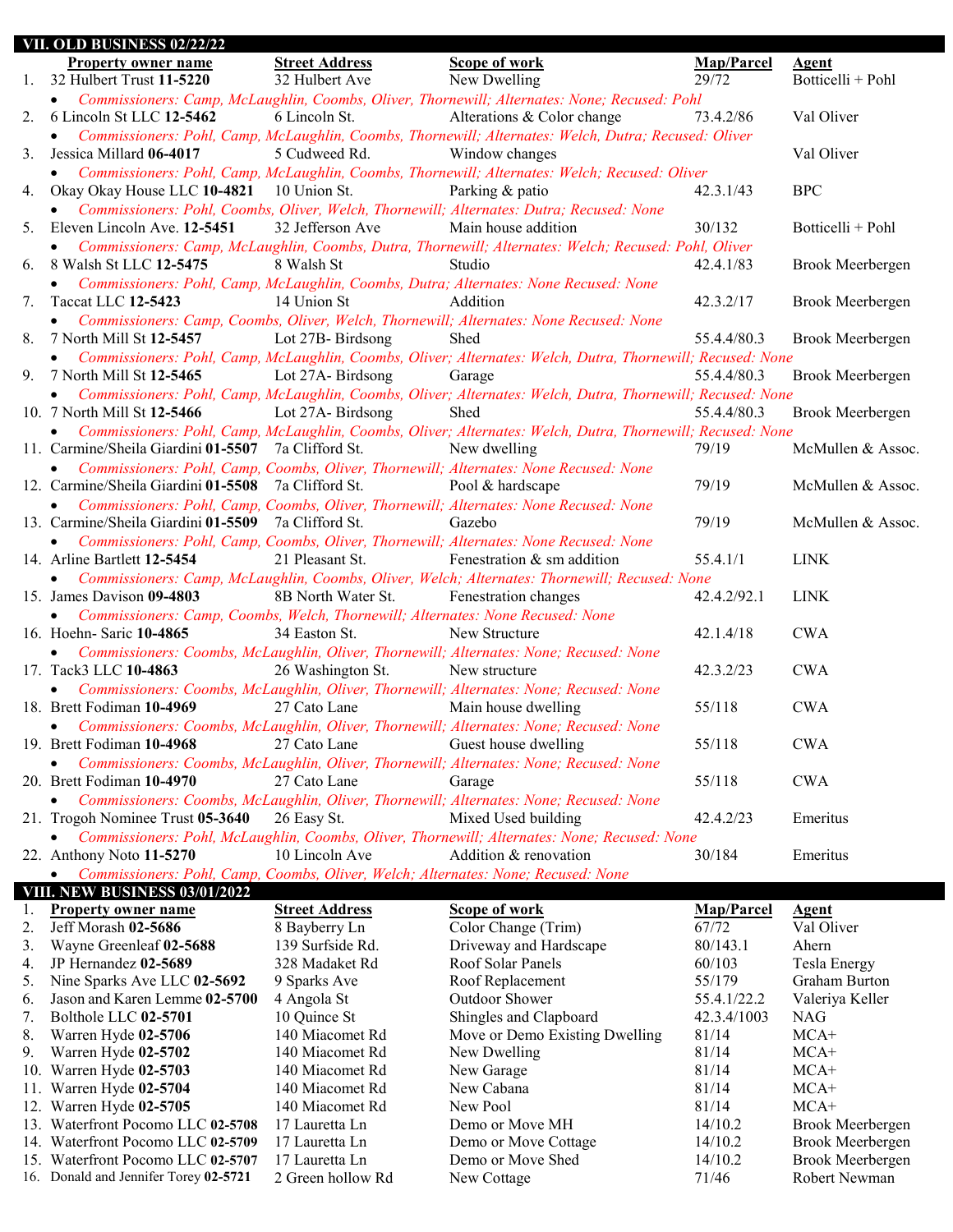| VII. OLD BUSINESS 02/22/22                                                                     |                                                                                                                                                                                                                                             |                                                                                                                                                                                                                                                      |                                                                                                                                                                                                                                                                                                                                                                                                                                                                                                                                                                                                                                                                 |                                                                                                                                                                                                                                                                                                                                                                                                                                                                                                                                                                                                                                                                                                                                                                                                                                                                                                             |
|------------------------------------------------------------------------------------------------|---------------------------------------------------------------------------------------------------------------------------------------------------------------------------------------------------------------------------------------------|------------------------------------------------------------------------------------------------------------------------------------------------------------------------------------------------------------------------------------------------------|-----------------------------------------------------------------------------------------------------------------------------------------------------------------------------------------------------------------------------------------------------------------------------------------------------------------------------------------------------------------------------------------------------------------------------------------------------------------------------------------------------------------------------------------------------------------------------------------------------------------------------------------------------------------|-------------------------------------------------------------------------------------------------------------------------------------------------------------------------------------------------------------------------------------------------------------------------------------------------------------------------------------------------------------------------------------------------------------------------------------------------------------------------------------------------------------------------------------------------------------------------------------------------------------------------------------------------------------------------------------------------------------------------------------------------------------------------------------------------------------------------------------------------------------------------------------------------------------|
| <b>Property owner name</b>                                                                     | <b>Street Address</b><br>32 Hulbert Ave                                                                                                                                                                                                     | Scope of work                                                                                                                                                                                                                                        | Map/Parcel<br>29/72                                                                                                                                                                                                                                                                                                                                                                                                                                                                                                                                                                                                                                             | <b>Agent</b><br>Botticelli + Pohl                                                                                                                                                                                                                                                                                                                                                                                                                                                                                                                                                                                                                                                                                                                                                                                                                                                                           |
|                                                                                                |                                                                                                                                                                                                                                             |                                                                                                                                                                                                                                                      |                                                                                                                                                                                                                                                                                                                                                                                                                                                                                                                                                                                                                                                                 |                                                                                                                                                                                                                                                                                                                                                                                                                                                                                                                                                                                                                                                                                                                                                                                                                                                                                                             |
| 6 Lincoln St LLC 12-5462                                                                       | 6 Lincoln St.                                                                                                                                                                                                                               |                                                                                                                                                                                                                                                      | 73.4.2/86                                                                                                                                                                                                                                                                                                                                                                                                                                                                                                                                                                                                                                                       | Val Oliver                                                                                                                                                                                                                                                                                                                                                                                                                                                                                                                                                                                                                                                                                                                                                                                                                                                                                                  |
| Jessica Millard 06-4017                                                                        | 5 Cudweed Rd.                                                                                                                                                                                                                               | Window changes                                                                                                                                                                                                                                       |                                                                                                                                                                                                                                                                                                                                                                                                                                                                                                                                                                                                                                                                 | Val Oliver                                                                                                                                                                                                                                                                                                                                                                                                                                                                                                                                                                                                                                                                                                                                                                                                                                                                                                  |
|                                                                                                |                                                                                                                                                                                                                                             | Parking & patio                                                                                                                                                                                                                                      | 42.3.1/43                                                                                                                                                                                                                                                                                                                                                                                                                                                                                                                                                                                                                                                       | <b>BPC</b>                                                                                                                                                                                                                                                                                                                                                                                                                                                                                                                                                                                                                                                                                                                                                                                                                                                                                                  |
|                                                                                                |                                                                                                                                                                                                                                             |                                                                                                                                                                                                                                                      |                                                                                                                                                                                                                                                                                                                                                                                                                                                                                                                                                                                                                                                                 |                                                                                                                                                                                                                                                                                                                                                                                                                                                                                                                                                                                                                                                                                                                                                                                                                                                                                                             |
|                                                                                                | 32 Jefferson Ave                                                                                                                                                                                                                            | Main house addition                                                                                                                                                                                                                                  | 30/132                                                                                                                                                                                                                                                                                                                                                                                                                                                                                                                                                                                                                                                          | Botticelli + Pohl                                                                                                                                                                                                                                                                                                                                                                                                                                                                                                                                                                                                                                                                                                                                                                                                                                                                                           |
|                                                                                                | 8 Walsh St                                                                                                                                                                                                                                  | Studio                                                                                                                                                                                                                                               | 42.4.1/83                                                                                                                                                                                                                                                                                                                                                                                                                                                                                                                                                                                                                                                       | Brook Meerbergen                                                                                                                                                                                                                                                                                                                                                                                                                                                                                                                                                                                                                                                                                                                                                                                                                                                                                            |
| Taccat LLC 12-5423                                                                             | 14 Union St                                                                                                                                                                                                                                 | Addition                                                                                                                                                                                                                                             | 42.3.2/17                                                                                                                                                                                                                                                                                                                                                                                                                                                                                                                                                                                                                                                       | Brook Meerbergen                                                                                                                                                                                                                                                                                                                                                                                                                                                                                                                                                                                                                                                                                                                                                                                                                                                                                            |
|                                                                                                |                                                                                                                                                                                                                                             |                                                                                                                                                                                                                                                      |                                                                                                                                                                                                                                                                                                                                                                                                                                                                                                                                                                                                                                                                 |                                                                                                                                                                                                                                                                                                                                                                                                                                                                                                                                                                                                                                                                                                                                                                                                                                                                                                             |
|                                                                                                | Lot 27B-Birdsong                                                                                                                                                                                                                            | Shed                                                                                                                                                                                                                                                 | 55.4.4/80.3                                                                                                                                                                                                                                                                                                                                                                                                                                                                                                                                                                                                                                                     | Brook Meerbergen                                                                                                                                                                                                                                                                                                                                                                                                                                                                                                                                                                                                                                                                                                                                                                                                                                                                                            |
| $\bullet$                                                                                      |                                                                                                                                                                                                                                             |                                                                                                                                                                                                                                                      |                                                                                                                                                                                                                                                                                                                                                                                                                                                                                                                                                                                                                                                                 |                                                                                                                                                                                                                                                                                                                                                                                                                                                                                                                                                                                                                                                                                                                                                                                                                                                                                                             |
|                                                                                                | Lot 27A-Birdsong                                                                                                                                                                                                                            | Garage                                                                                                                                                                                                                                               | 55.4.4/80.3                                                                                                                                                                                                                                                                                                                                                                                                                                                                                                                                                                                                                                                     | Brook Meerbergen                                                                                                                                                                                                                                                                                                                                                                                                                                                                                                                                                                                                                                                                                                                                                                                                                                                                                            |
|                                                                                                |                                                                                                                                                                                                                                             |                                                                                                                                                                                                                                                      |                                                                                                                                                                                                                                                                                                                                                                                                                                                                                                                                                                                                                                                                 |                                                                                                                                                                                                                                                                                                                                                                                                                                                                                                                                                                                                                                                                                                                                                                                                                                                                                                             |
|                                                                                                |                                                                                                                                                                                                                                             |                                                                                                                                                                                                                                                      |                                                                                                                                                                                                                                                                                                                                                                                                                                                                                                                                                                                                                                                                 | Brook Meerbergen                                                                                                                                                                                                                                                                                                                                                                                                                                                                                                                                                                                                                                                                                                                                                                                                                                                                                            |
|                                                                                                |                                                                                                                                                                                                                                             |                                                                                                                                                                                                                                                      |                                                                                                                                                                                                                                                                                                                                                                                                                                                                                                                                                                                                                                                                 |                                                                                                                                                                                                                                                                                                                                                                                                                                                                                                                                                                                                                                                                                                                                                                                                                                                                                                             |
|                                                                                                |                                                                                                                                                                                                                                             |                                                                                                                                                                                                                                                      |                                                                                                                                                                                                                                                                                                                                                                                                                                                                                                                                                                                                                                                                 |                                                                                                                                                                                                                                                                                                                                                                                                                                                                                                                                                                                                                                                                                                                                                                                                                                                                                                             |
|                                                                                                |                                                                                                                                                                                                                                             |                                                                                                                                                                                                                                                      |                                                                                                                                                                                                                                                                                                                                                                                                                                                                                                                                                                                                                                                                 | McMullen & Assoc.                                                                                                                                                                                                                                                                                                                                                                                                                                                                                                                                                                                                                                                                                                                                                                                                                                                                                           |
| $\bullet$                                                                                      |                                                                                                                                                                                                                                             |                                                                                                                                                                                                                                                      |                                                                                                                                                                                                                                                                                                                                                                                                                                                                                                                                                                                                                                                                 |                                                                                                                                                                                                                                                                                                                                                                                                                                                                                                                                                                                                                                                                                                                                                                                                                                                                                                             |
|                                                                                                |                                                                                                                                                                                                                                             | Pool & hardscape                                                                                                                                                                                                                                     |                                                                                                                                                                                                                                                                                                                                                                                                                                                                                                                                                                                                                                                                 | McMullen & Assoc.                                                                                                                                                                                                                                                                                                                                                                                                                                                                                                                                                                                                                                                                                                                                                                                                                                                                                           |
|                                                                                                |                                                                                                                                                                                                                                             |                                                                                                                                                                                                                                                      |                                                                                                                                                                                                                                                                                                                                                                                                                                                                                                                                                                                                                                                                 |                                                                                                                                                                                                                                                                                                                                                                                                                                                                                                                                                                                                                                                                                                                                                                                                                                                                                                             |
|                                                                                                |                                                                                                                                                                                                                                             | Gazebo                                                                                                                                                                                                                                               | 79/19                                                                                                                                                                                                                                                                                                                                                                                                                                                                                                                                                                                                                                                           | McMullen & Assoc.                                                                                                                                                                                                                                                                                                                                                                                                                                                                                                                                                                                                                                                                                                                                                                                                                                                                                           |
|                                                                                                |                                                                                                                                                                                                                                             |                                                                                                                                                                                                                                                      |                                                                                                                                                                                                                                                                                                                                                                                                                                                                                                                                                                                                                                                                 |                                                                                                                                                                                                                                                                                                                                                                                                                                                                                                                                                                                                                                                                                                                                                                                                                                                                                                             |
|                                                                                                |                                                                                                                                                                                                                                             |                                                                                                                                                                                                                                                      |                                                                                                                                                                                                                                                                                                                                                                                                                                                                                                                                                                                                                                                                 | <b>LINK</b>                                                                                                                                                                                                                                                                                                                                                                                                                                                                                                                                                                                                                                                                                                                                                                                                                                                                                                 |
|                                                                                                |                                                                                                                                                                                                                                             |                                                                                                                                                                                                                                                      |                                                                                                                                                                                                                                                                                                                                                                                                                                                                                                                                                                                                                                                                 |                                                                                                                                                                                                                                                                                                                                                                                                                                                                                                                                                                                                                                                                                                                                                                                                                                                                                                             |
|                                                                                                |                                                                                                                                                                                                                                             |                                                                                                                                                                                                                                                      |                                                                                                                                                                                                                                                                                                                                                                                                                                                                                                                                                                                                                                                                 |                                                                                                                                                                                                                                                                                                                                                                                                                                                                                                                                                                                                                                                                                                                                                                                                                                                                                                             |
|                                                                                                |                                                                                                                                                                                                                                             |                                                                                                                                                                                                                                                      |                                                                                                                                                                                                                                                                                                                                                                                                                                                                                                                                                                                                                                                                 |                                                                                                                                                                                                                                                                                                                                                                                                                                                                                                                                                                                                                                                                                                                                                                                                                                                                                                             |
| 15. James Davison 09-4803                                                                      | 8B North Water St.                                                                                                                                                                                                                          | Fenestration changes                                                                                                                                                                                                                                 | 42.4.2/92.1                                                                                                                                                                                                                                                                                                                                                                                                                                                                                                                                                                                                                                                     | <b>LINK</b>                                                                                                                                                                                                                                                                                                                                                                                                                                                                                                                                                                                                                                                                                                                                                                                                                                                                                                 |
| Commissioners: Camp, Coombs, Welch, Thornewill; Alternates: None Recused: None                 |                                                                                                                                                                                                                                             |                                                                                                                                                                                                                                                      |                                                                                                                                                                                                                                                                                                                                                                                                                                                                                                                                                                                                                                                                 |                                                                                                                                                                                                                                                                                                                                                                                                                                                                                                                                                                                                                                                                                                                                                                                                                                                                                                             |
| 16. Hoehn- Saric 10-4865                                                                       | 34 Easton St.                                                                                                                                                                                                                               | New Structure                                                                                                                                                                                                                                        | 42.1.4/18                                                                                                                                                                                                                                                                                                                                                                                                                                                                                                                                                                                                                                                       | <b>CWA</b>                                                                                                                                                                                                                                                                                                                                                                                                                                                                                                                                                                                                                                                                                                                                                                                                                                                                                                  |
|                                                                                                |                                                                                                                                                                                                                                             | Commissioners: Coombs, McLaughlin, Oliver, Thornewill; Alternates: None; Recused: None                                                                                                                                                               |                                                                                                                                                                                                                                                                                                                                                                                                                                                                                                                                                                                                                                                                 |                                                                                                                                                                                                                                                                                                                                                                                                                                                                                                                                                                                                                                                                                                                                                                                                                                                                                                             |
| 17. Tack3 LLC 10-4863                                                                          | 26 Washington St.                                                                                                                                                                                                                           | New structure                                                                                                                                                                                                                                        | 42.3.2/23                                                                                                                                                                                                                                                                                                                                                                                                                                                                                                                                                                                                                                                       | <b>CWA</b>                                                                                                                                                                                                                                                                                                                                                                                                                                                                                                                                                                                                                                                                                                                                                                                                                                                                                                  |
|                                                                                                |                                                                                                                                                                                                                                             |                                                                                                                                                                                                                                                      |                                                                                                                                                                                                                                                                                                                                                                                                                                                                                                                                                                                                                                                                 |                                                                                                                                                                                                                                                                                                                                                                                                                                                                                                                                                                                                                                                                                                                                                                                                                                                                                                             |
|                                                                                                |                                                                                                                                                                                                                                             | Commissioners: Coombs, McLaughlin, Oliver, Thornewill; Alternates: None; Recused: None                                                                                                                                                               |                                                                                                                                                                                                                                                                                                                                                                                                                                                                                                                                                                                                                                                                 |                                                                                                                                                                                                                                                                                                                                                                                                                                                                                                                                                                                                                                                                                                                                                                                                                                                                                                             |
| 18. Brett Fodiman 10-4969                                                                      | 27 Cato Lane                                                                                                                                                                                                                                | Main house dwelling                                                                                                                                                                                                                                  | 55/118                                                                                                                                                                                                                                                                                                                                                                                                                                                                                                                                                                                                                                                          | <b>CWA</b>                                                                                                                                                                                                                                                                                                                                                                                                                                                                                                                                                                                                                                                                                                                                                                                                                                                                                                  |
| • Commissioners: Coombs, McLaughlin, Oliver, Thornewill; Alternates: None; Recused: None       |                                                                                                                                                                                                                                             |                                                                                                                                                                                                                                                      |                                                                                                                                                                                                                                                                                                                                                                                                                                                                                                                                                                                                                                                                 |                                                                                                                                                                                                                                                                                                                                                                                                                                                                                                                                                                                                                                                                                                                                                                                                                                                                                                             |
| 19. Brett Fodiman 10-4968                                                                      | 27 Cato Lane                                                                                                                                                                                                                                | Guest house dwelling                                                                                                                                                                                                                                 | 55/118                                                                                                                                                                                                                                                                                                                                                                                                                                                                                                                                                                                                                                                          | <b>CWA</b>                                                                                                                                                                                                                                                                                                                                                                                                                                                                                                                                                                                                                                                                                                                                                                                                                                                                                                  |
|                                                                                                |                                                                                                                                                                                                                                             | Commissioners: Coombs, McLaughlin, Oliver, Thornewill; Alternates: None; Recused: None                                                                                                                                                               |                                                                                                                                                                                                                                                                                                                                                                                                                                                                                                                                                                                                                                                                 |                                                                                                                                                                                                                                                                                                                                                                                                                                                                                                                                                                                                                                                                                                                                                                                                                                                                                                             |
| 20. Brett Fodiman 10-4970                                                                      | 27 Cato Lane                                                                                                                                                                                                                                | Garage                                                                                                                                                                                                                                               | 55/118                                                                                                                                                                                                                                                                                                                                                                                                                                                                                                                                                                                                                                                          | <b>CWA</b>                                                                                                                                                                                                                                                                                                                                                                                                                                                                                                                                                                                                                                                                                                                                                                                                                                                                                                  |
| $\bullet$                                                                                      |                                                                                                                                                                                                                                             | Commissioners: Coombs, McLaughlin, Oliver, Thornewill; Alternates: None; Recused: None                                                                                                                                                               |                                                                                                                                                                                                                                                                                                                                                                                                                                                                                                                                                                                                                                                                 |                                                                                                                                                                                                                                                                                                                                                                                                                                                                                                                                                                                                                                                                                                                                                                                                                                                                                                             |
| 21. Trogoh Nominee Trust 05-3640                                                               | 26 Easy St.                                                                                                                                                                                                                                 | Mixed Used building                                                                                                                                                                                                                                  | 42.4.2/23                                                                                                                                                                                                                                                                                                                                                                                                                                                                                                                                                                                                                                                       | Emeritus                                                                                                                                                                                                                                                                                                                                                                                                                                                                                                                                                                                                                                                                                                                                                                                                                                                                                                    |
| $\bullet$                                                                                      |                                                                                                                                                                                                                                             |                                                                                                                                                                                                                                                      |                                                                                                                                                                                                                                                                                                                                                                                                                                                                                                                                                                                                                                                                 |                                                                                                                                                                                                                                                                                                                                                                                                                                                                                                                                                                                                                                                                                                                                                                                                                                                                                                             |
|                                                                                                |                                                                                                                                                                                                                                             | Commissioners: Pohl, McLaughlin, Coombs, Oliver, Thornewill; Alternates: None; Recused: None                                                                                                                                                         |                                                                                                                                                                                                                                                                                                                                                                                                                                                                                                                                                                                                                                                                 |                                                                                                                                                                                                                                                                                                                                                                                                                                                                                                                                                                                                                                                                                                                                                                                                                                                                                                             |
| 22. Anthony Noto 11-5270                                                                       | 10 Lincoln Ave                                                                                                                                                                                                                              | Addition & renovation                                                                                                                                                                                                                                | 30/184                                                                                                                                                                                                                                                                                                                                                                                                                                                                                                                                                                                                                                                          | Emeritus                                                                                                                                                                                                                                                                                                                                                                                                                                                                                                                                                                                                                                                                                                                                                                                                                                                                                                    |
| Commissioners: Pohl, Camp, Coombs, Oliver, Welch; Alternates: None; Recused: None<br>$\bullet$ |                                                                                                                                                                                                                                             |                                                                                                                                                                                                                                                      |                                                                                                                                                                                                                                                                                                                                                                                                                                                                                                                                                                                                                                                                 |                                                                                                                                                                                                                                                                                                                                                                                                                                                                                                                                                                                                                                                                                                                                                                                                                                                                                                             |
| <b>VIII. NEW BUSINESS 03/01/2022</b>                                                           |                                                                                                                                                                                                                                             |                                                                                                                                                                                                                                                      |                                                                                                                                                                                                                                                                                                                                                                                                                                                                                                                                                                                                                                                                 |                                                                                                                                                                                                                                                                                                                                                                                                                                                                                                                                                                                                                                                                                                                                                                                                                                                                                                             |
| <b>Property owner name</b>                                                                     | <b>Street Address</b>                                                                                                                                                                                                                       | <b>Scope of work</b>                                                                                                                                                                                                                                 | Map/Parcel                                                                                                                                                                                                                                                                                                                                                                                                                                                                                                                                                                                                                                                      | <b>Agent</b>                                                                                                                                                                                                                                                                                                                                                                                                                                                                                                                                                                                                                                                                                                                                                                                                                                                                                                |
| Jeff Morash 02-5686                                                                            | 8 Bayberry Ln                                                                                                                                                                                                                               | Color Change (Trim)                                                                                                                                                                                                                                  | 67/72                                                                                                                                                                                                                                                                                                                                                                                                                                                                                                                                                                                                                                                           | Val Oliver                                                                                                                                                                                                                                                                                                                                                                                                                                                                                                                                                                                                                                                                                                                                                                                                                                                                                                  |
| Wayne Greenleaf 02-5688                                                                        | 139 Surfside Rd.                                                                                                                                                                                                                            | Driveway and Hardscape                                                                                                                                                                                                                               | 80/143.1                                                                                                                                                                                                                                                                                                                                                                                                                                                                                                                                                                                                                                                        | Ahern                                                                                                                                                                                                                                                                                                                                                                                                                                                                                                                                                                                                                                                                                                                                                                                                                                                                                                       |
| JP Hernandez 02-5689                                                                           | 328 Madaket Rd                                                                                                                                                                                                                              | Roof Solar Panels                                                                                                                                                                                                                                    | 60/103                                                                                                                                                                                                                                                                                                                                                                                                                                                                                                                                                                                                                                                          | Tesla Energy                                                                                                                                                                                                                                                                                                                                                                                                                                                                                                                                                                                                                                                                                                                                                                                                                                                                                                |
| Nine Sparks Ave LLC 02-5692                                                                    | 9 Sparks Ave                                                                                                                                                                                                                                | Roof Replacement                                                                                                                                                                                                                                     | 55/179                                                                                                                                                                                                                                                                                                                                                                                                                                                                                                                                                                                                                                                          | Graham Burton                                                                                                                                                                                                                                                                                                                                                                                                                                                                                                                                                                                                                                                                                                                                                                                                                                                                                               |
| Jason and Karen Lemme 02-5700                                                                  | 4 Angola St                                                                                                                                                                                                                                 | Outdoor Shower                                                                                                                                                                                                                                       | 55.4.1/22.2                                                                                                                                                                                                                                                                                                                                                                                                                                                                                                                                                                                                                                                     | Valeriya Keller                                                                                                                                                                                                                                                                                                                                                                                                                                                                                                                                                                                                                                                                                                                                                                                                                                                                                             |
| Bolthole LLC 02-5701                                                                           | 10 Quince St                                                                                                                                                                                                                                | Shingles and Clapboard                                                                                                                                                                                                                               | 42.3.4/1003                                                                                                                                                                                                                                                                                                                                                                                                                                                                                                                                                                                                                                                     | <b>NAG</b>                                                                                                                                                                                                                                                                                                                                                                                                                                                                                                                                                                                                                                                                                                                                                                                                                                                                                                  |
| Warren Hyde 02-5706                                                                            | 140 Miacomet Rd                                                                                                                                                                                                                             | Move or Demo Existing Dwelling                                                                                                                                                                                                                       | 81/14                                                                                                                                                                                                                                                                                                                                                                                                                                                                                                                                                                                                                                                           | $MCA+$                                                                                                                                                                                                                                                                                                                                                                                                                                                                                                                                                                                                                                                                                                                                                                                                                                                                                                      |
| Warren Hyde 02-5702                                                                            | 140 Miacomet Rd                                                                                                                                                                                                                             | New Dwelling                                                                                                                                                                                                                                         | 81/14                                                                                                                                                                                                                                                                                                                                                                                                                                                                                                                                                                                                                                                           | $MCA+$                                                                                                                                                                                                                                                                                                                                                                                                                                                                                                                                                                                                                                                                                                                                                                                                                                                                                                      |
| Warren Hyde 02-5703<br>10.                                                                     | 140 Miacomet Rd                                                                                                                                                                                                                             | New Garage                                                                                                                                                                                                                                           | 81/14                                                                                                                                                                                                                                                                                                                                                                                                                                                                                                                                                                                                                                                           | $MCA+$                                                                                                                                                                                                                                                                                                                                                                                                                                                                                                                                                                                                                                                                                                                                                                                                                                                                                                      |
| 2.                                                                                             | 1. 32 Hulbert Trust 11-5220<br>$\bullet$<br>Eleven Lincoln Ave. 12-5451<br>6. 8 Walsh St LLC 12-5475<br>8. 7 North Mill St 12-5457<br>9. 7 North Mill St 12-5465<br>10. 7 North Mill St 12-5466<br>$\bullet$<br>14. Arline Bartlett 12-5454 | Okay Okay House LLC 10-4821 10 Union St.<br>Lot 27A-Birdsong<br>11. Carmine/Sheila Giardini 01-5507 7a Clifford St.<br>12. Carmine/Sheila Giardini 01-5508 7a Clifford St.<br>13. Carmine/Sheila Giardini 01-5509 7a Clifford St.<br>21 Pleasant St. | New Dwelling<br>Alterations & Color change<br>• Commissioners: Pohl, Coombs, Oliver, Welch, Thornewill; Alternates: Dutra; Recused: None<br>• Commissioners: Pohl, Camp, McLaughlin, Coombs, Dutra; Alternates: None Recused: None<br>• Commissioners: Camp, Coombs, Oliver, Welch, Thornewill; Alternates: None Recused: None<br>Shed<br>New dwelling<br>Commissioners: Pohl, Camp, Coombs, Oliver, Thornewill; Alternates: None Recused: None<br>Commissioners: Pohl, Camp, Coombs, Oliver, Thornewill; Alternates: None Recused: None<br>Commissioners: Pohl, Camp, Coombs, Oliver, Thornewill; Alternates: None Recused: None<br>Fenestration & sm addition | • Commissioners: Camp, McLaughlin, Coombs, Oliver, Thornewill; Alternates: None; Recused: Pohl<br>Commissioners: Pohl, Camp, McLaughlin, Coombs, Thornewill; Alternates: Welch, Dutra; Recused: Oliver<br>• Commissioners: Pohl, Camp, McLaughlin, Coombs, Thornewill; Alternates: Welch; Recused: Oliver<br>• Commissioners: Camp, McLaughlin, Coombs, Dutra, Thornewill; Alternates: Welch; Recused: Pohl, Oliver<br>Commissioners: Pohl, Camp, McLaughlin, Coombs, Oliver; Alternates: Welch, Dutra, Thornewill; Recused: None<br>Commissioners: Pohl, Camp, McLaughlin, Coombs, Oliver; Alternates: Welch, Dutra, Thornewill; Recused: None<br>55.4.4/80.3<br>Commissioners: Pohl, Camp, McLaughlin, Coombs, Oliver; Alternates: Welch, Dutra, Thornewill; Recused: None<br>79/19<br>79/19<br>55.4.1/1<br>Commissioners: Camp, McLaughlin, Coombs, Oliver, Welch; Alternates: Thornewill; Recused: None |

11. Warren Hyde **02-5704** 140 Miacomet Rd New Cabana 81/14 MCA+<br>12. Warren Hyde **02-5705** 140 Miacomet Rd New Pool 81/14 MCA+

13. Waterfront Pocomo LLC **02-5708** 17 Lauretta Ln Demo or Move MH 14/10.2 Brook Meerbergen 14. Waterfront Pocomo LLC 02-5709 17 Lauretta Ln Demo or Move Cottage 14/10.2 Brook Meerbergen 15. Waterfront Pocomo LLC **02-5707** 17 Lauretta Ln Demo or Move Shed 14/10.2 Brook Meerbergen 16. Donald and Jennifer Torey 02-5721 2 Green hollow Rd New Cottage 71/46 Robert Newman

12. Warren Hyde **02-5705** 140 Miacomet Rd New Pool 81/14<br>13. Waterfront Pocomo LLC **02-5708** 17 Lauretta Ln Demo or Move MH 14/10.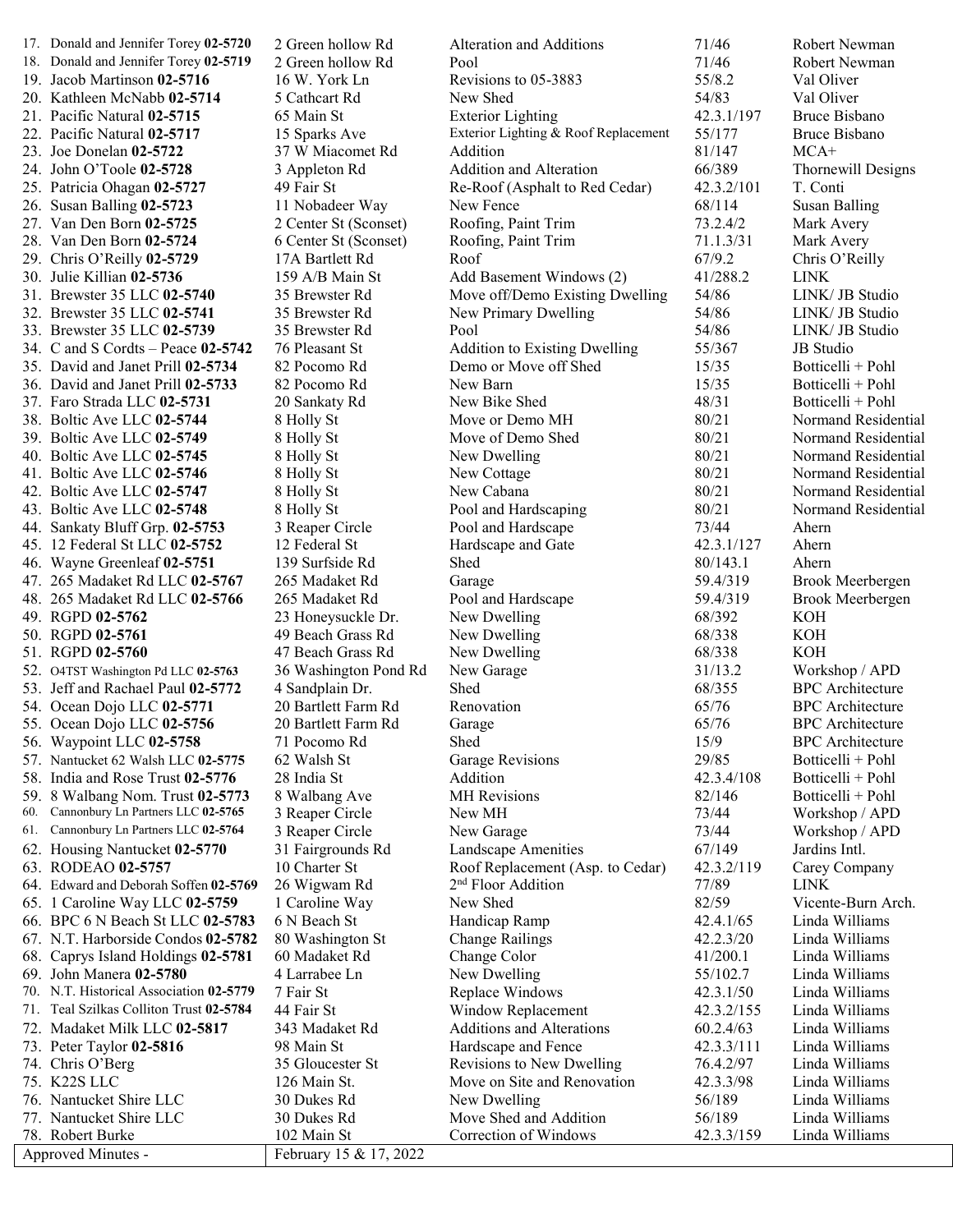|     | 17. Donald and Jennifer Torey 02-5720   | 2 Green hollow Rd      | Alteration and Additions             | 71/46          | Robert Newman           |
|-----|-----------------------------------------|------------------------|--------------------------------------|----------------|-------------------------|
|     | 18. Donald and Jennifer Torey 02-5719   | 2 Green hollow Rd      | Pool                                 | 71/46          | Robert Newman           |
|     | 19. Jacob Martinson 02-5716             | 16 W. York Ln          | Revisions to 05-3883                 | 55/8.2         | Val Oliver              |
|     | 20. Kathleen McNabb 02-5714             | 5 Cathcart Rd          | New Shed                             | 54/83          | Val Oliver              |
|     | 21. Pacific Natural 02-5715             | 65 Main St             | <b>Exterior Lighting</b>             | 42.3.1/197     | <b>Bruce Bisbano</b>    |
|     | 22. Pacific Natural 02-5717             | 15 Sparks Ave          | Exterior Lighting & Roof Replacement | 55/177         | <b>Bruce Bisbano</b>    |
|     | 23. Joe Donelan 02-5722                 | 37 W Miacomet Rd       | Addition                             | 81/147         | $MCA+$                  |
|     | 24. John O'Toole 02-5728                | 3 Appleton Rd          | Addition and Alteration              | 66/389         | Thornewill Designs      |
|     | 25. Patricia Ohagan 02-5727             | 49 Fair St             | Re-Roof (Asphalt to Red Cedar)       | 42.3.2/101     | T. Conti                |
|     | 26. Susan Balling 02-5723               | 11 Nobadeer Way        | New Fence                            | 68/114         | <b>Susan Balling</b>    |
|     | 27. Van Den Born 02-5725                | 2 Center St (Sconset)  | Roofing, Paint Trim                  | 73.2.4/2       | Mark Avery              |
|     | 28. Van Den Born 02-5724                | 6 Center St (Sconset)  | Roofing, Paint Trim                  | 71.1.3/31      | Mark Avery              |
|     | 29. Chris O'Reilly 02-5729              | 17A Bartlett Rd        | Roof                                 | 67/9.2         | Chris O'Reilly          |
|     | 30. Julie Killian 02-5736               | 159 A/B Main St        | Add Basement Windows (2)             | 41/288.2       | <b>LINK</b>             |
|     | 31. Brewster 35 LLC 02-5740             | 35 Brewster Rd         | Move off/Demo Existing Dwelling      | 54/86          | LINK/ JB Studio         |
|     | 32. Brewster 35 LLC 02-5741             | 35 Brewster Rd         | New Primary Dwelling                 | 54/86          | LINK/ JB Studio         |
|     | 33. Brewster 35 LLC 02-5739             | 35 Brewster Rd         | Pool                                 | 54/86          | LINK/ JB Studio         |
|     | 34. C and S Cordts - Peace 02-5742      | 76 Pleasant St         | <b>Addition to Existing Dwelling</b> | 55/367         | JB Studio               |
|     | 35. David and Janet Prill 02-5734       | 82 Pocomo Rd           | Demo or Move off Shed                | 15/35          | Botticelli + Pohl       |
|     | 36. David and Janet Prill 02-5733       | 82 Pocomo Rd           | New Barn                             | 15/35          | Botticelli + Pohl       |
|     | 37. Faro Strada LLC 02-5731             | 20 Sankaty Rd          | New Bike Shed                        | 48/31          | Botticelli + Pohl       |
|     | 38. Boltic Ave LLC 02-5744              | 8 Holly St             | Move or Demo MH                      | 80/21          | Normand Residential     |
|     | 39. Boltic Ave LLC 02-5749              | 8 Holly St             | Move of Demo Shed                    | 80/21          | Normand Residential     |
|     |                                         |                        |                                      | 80/21          | Normand Residential     |
|     | 40. Boltic Ave LLC 02-5745              | 8 Holly St             | New Dwelling                         | 80/21          | Normand Residential     |
|     | 41. Boltic Ave LLC 02-5746              | 8 Holly St             | New Cottage                          |                |                         |
|     | 42. Boltic Ave LLC 02-5747              | 8 Holly St             | New Cabana                           | 80/21          | Normand Residential     |
|     | 43. Boltic Ave LLC 02-5748              | 8 Holly St             | Pool and Hardscaping                 | 80/21<br>73/44 | Normand Residential     |
|     | 44. Sankaty Bluff Grp. 02-5753          | 3 Reaper Circle        | Pool and Hardscape                   |                | Ahern<br>Ahern          |
|     | 45. 12 Federal St LLC 02-5752           | 12 Federal St          | Hardscape and Gate                   | 42.3.1/127     | Ahern                   |
|     | 46. Wayne Greenleaf 02-5751             | 139 Surfside Rd        | Shed                                 | 80/143.1       |                         |
|     | 47. 265 Madaket Rd LLC 02-5767          | 265 Madaket Rd         | Garage                               | 59.4/319       | Brook Meerbergen        |
|     | 48. 265 Madaket Rd LLC 02-5766          | 265 Madaket Rd         | Pool and Hardscape                   | 59.4/319       | Brook Meerbergen        |
|     | 49. RGPD 02-5762                        | 23 Honeysuckle Dr.     | New Dwelling                         | 68/392         | KOH                     |
|     | 50. RGPD 02-5761                        | 49 Beach Grass Rd      | New Dwelling                         | 68/338         | KOH                     |
|     | 51. RGPD 02-5760                        | 47 Beach Grass Rd      | New Dwelling                         | 68/338         | <b>KOH</b>              |
|     | 52. O4TST Washington Pd LLC 02-5763     | 36 Washington Pond Rd  | New Garage                           | 31/13.2        | Workshop / APD          |
|     | 53. Jeff and Rachael Paul 02-5772       | 4 Sandplain Dr.        | Shed                                 | 68/355         | <b>BPC</b> Architecture |
|     | 54. Ocean Dojo LLC 02-5771              | 20 Bartlett Farm Rd    | Renovation                           | 65/76          | <b>BPC</b> Architecture |
|     | 55. Ocean Dojo LLC 02-5756              | 20 Bartlett Farm Rd    | Garage                               | 65/76          | <b>BPC</b> Architecture |
|     | 56. Waypoint LLC 02-5758                | 71 Pocomo Rd           | Shed                                 | 15/9           | <b>BPC</b> Architecture |
|     | 57. Nantucket 62 Walsh LLC 02-5775      | 62 Walsh St            | Garage Revisions                     | 29/85          | Botticelli + Pohl       |
|     | 58. India and Rose Trust 02-5776        | 28 India St            | Addition                             | 42.3.4/108     | Botticelli + Pohl       |
|     | 59. 8 Walbang Nom. Trust 02-5773        | 8 Walbang Ave          | <b>MH</b> Revisions                  | 82/146         | Botticelli + Pohl       |
| 60. | Cannonbury Ln Partners LLC 02-5765      | 3 Reaper Circle        | New MH                               | 73/44          | Workshop / APD          |
| 61. | Cannonbury Ln Partners LLC 02-5764      | 3 Reaper Circle        | New Garage                           | 73/44          | Workshop / APD          |
|     | 62. Housing Nantucket 02-5770           | 31 Fairgrounds Rd      | Landscape Amenities                  | 67/149         | Jardins Intl.           |
|     | 63. RODEAO 02-5757                      | 10 Charter St          | Roof Replacement (Asp. to Cedar)     | 42.3.2/119     | Carey Company           |
|     | 64. Edward and Deborah Soffen 02-5769   | 26 Wigwam Rd           | 2 <sup>nd</sup> Floor Addition       | 77/89          | <b>LINK</b>             |
|     | 65. 1 Caroline Way LLC 02-5759          | 1 Caroline Way         | New Shed                             | 82/59          | Vicente-Burn Arch.      |
|     | 66. BPC 6 N Beach St LLC 02-5783        | 6 N Beach St           | Handicap Ramp                        | 42.4.1/65      | Linda Williams          |
|     | 67. N.T. Harborside Condos 02-5782      | 80 Washington St       | <b>Change Railings</b>               | 42.2.3/20      | Linda Williams          |
|     | 68. Caprys Island Holdings 02-5781      | 60 Madaket Rd          | Change Color                         | 41/200.1       | Linda Williams          |
|     | 69. John Manera 02-5780                 | 4 Larrabee Ln          | New Dwelling                         | 55/102.7       | Linda Williams          |
|     | 70. N.T. Historical Association 02-5779 | 7 Fair St              | Replace Windows                      | 42.3.1/50      | Linda Williams          |
|     | Teal Szilkas Colliton Trust 02-5784     | 44 Fair St             | Window Replacement                   | 42.3.2/155     | Linda Williams          |
|     | 72. Madaket Milk LLC 02-5817            | 343 Madaket Rd         | <b>Additions and Alterations</b>     | 60.2.4/63      | Linda Williams          |
|     | 73. Peter Taylor 02-5816                | 98 Main St             | Hardscape and Fence                  | 42.3.3/111     | Linda Williams          |
|     | 74. Chris O'Berg                        | 35 Gloucester St       | Revisions to New Dwelling            | 76.4.2/97      | Linda Williams          |
|     | 75. K22S LLC                            | 126 Main St.           | Move on Site and Renovation          | 42.3.3/98      | Linda Williams          |
|     | 76. Nantucket Shire LLC                 | 30 Dukes Rd            | New Dwelling                         | 56/189         | Linda Williams          |
|     | 77. Nantucket Shire LLC                 | 30 Dukes Rd            | Move Shed and Addition               | 56/189         | Linda Williams          |
|     | 78. Robert Burke                        | 102 Main St            | Correction of Windows                | 42.3.3/159     | Linda Williams          |
|     | Approved Minutes -                      | February 15 & 17, 2022 |                                      |                |                         |